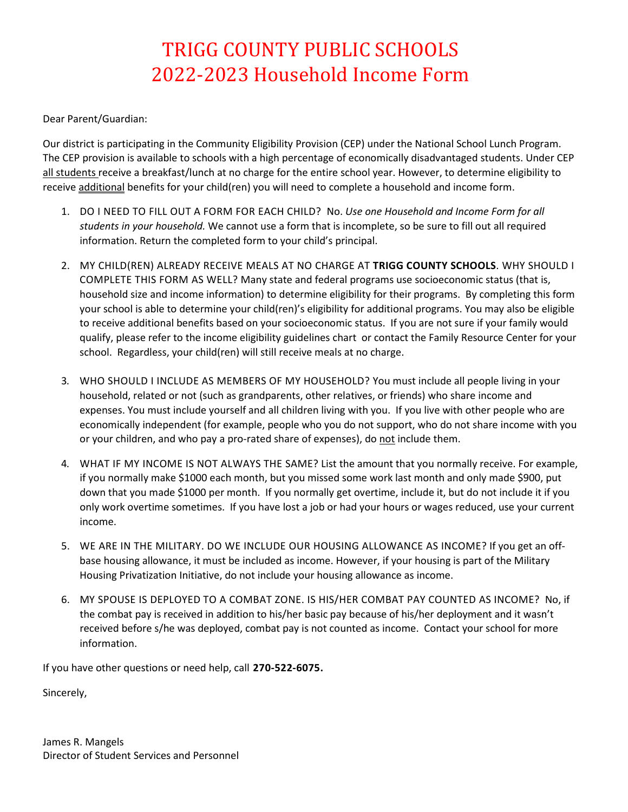## TRIGG COUNTY PUBLIC SCHOOLS 2022-2023 Household Income Form

Dear Parent/Guardian:

Our district is participating in the Community Eligibility Provision (CEP) under the National School Lunch Program. The CEP provision is available to schools with a high percentage of economically disadvantaged students. Under CEP all students receive a breakfast/lunch at no charge for the entire school year. However, to determine eligibility to receive additional benefits for your child(ren) you will need to complete a household and income form.

- 1. DO I NEED TO FILL OUT A FORM FOR EACH CHILD? No. *Use one Household and Income Form for all students in your household.* We cannot use a form that is incomplete, so be sure to fill out all required information. Return the completed form to your child's principal.
- 2. MY CHILD(REN) ALREADY RECEIVE MEALS AT NO CHARGE AT **TRIGG COUNTY SCHOOLS**. WHY SHOULD I COMPLETE THIS FORM AS WELL? Many state and federal programs use socioeconomic status (that is, household size and income information) to determine eligibility for their programs. By completing this form your school is able to determine your child(ren)'s eligibility for additional programs. You may also be eligible to receive additional benefits based on your socioeconomic status. If you are not sure if your family would qualify, please refer to the income eligibility guidelines chart or contact the Family Resource Center for your school. Regardless, your child(ren) will still receive meals at no charge.
- 3. WHO SHOULD I INCLUDE AS MEMBERS OF MY HOUSEHOLD? You must include all people living in your household, related or not (such as grandparents, other relatives, or friends) who share income and expenses. You must include yourself and all children living with you. If you live with other people who are economically independent (for example, people who you do not support, who do not share income with you or your children, and who pay a pro-rated share of expenses), do not include them.
- 4. WHAT IF MY INCOME IS NOT ALWAYS THE SAME? List the amount that you normally receive. For example, if you normally make \$1000 each month, but you missed some work last month and only made \$900, put down that you made \$1000 per month. If you normally get overtime, include it, but do not include it if you only work overtime sometimes. If you have lost a job or had your hours or wages reduced, use your current income.
- 5. WE ARE IN THE MILITARY. DO WE INCLUDE OUR HOUSING ALLOWANCE AS INCOME? If you get an offbase housing allowance, it must be included as income. However, if your housing is part of the Military Housing Privatization Initiative, do not include your housing allowance as income.
- 6. MY SPOUSE IS DEPLOYED TO A COMBAT ZONE. IS HIS/HER COMBAT PAY COUNTED AS INCOME? No, if the combat pay is received in addition to his/her basic pay because of his/her deployment and it wasn't received before s/he was deployed, combat pay is not counted as income. Contact your school for more information.

If you have other questions or need help, call **270-522-6075.**

Sincerely,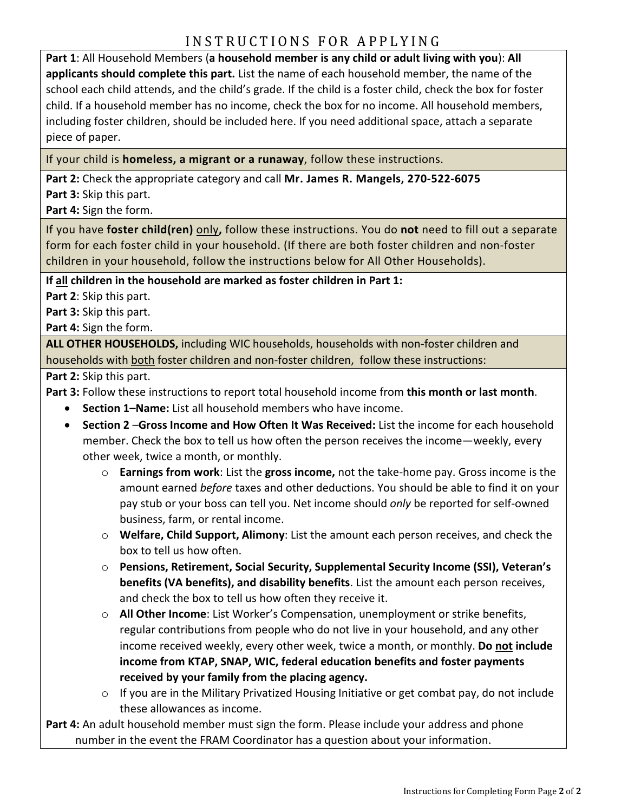## INSTRUCTIONS FOR APPLYING

**Part 1**: All Household Members (**a household member is any child or adult living with you**): **All applicants should complete this part.** List the name of each household member, the name of the school each child attends, and the child's grade. If the child is a foster child, check the box for foster child. If a household member has no income, check the box for no income. All household members, including foster children, should be included here. If you need additional space, attach a separate piece of paper.

If your child is **homeless, a migrant or a runaway**, follow these instructions.

**Part 2:** Check the appropriate category and call **Mr. James R. Mangels, 270-522-6075 Part 3:** Skip this part.

**Part 4:** Sign the form.

If you have **foster child(ren)** only**,** follow these instructions. You do **not** need to fill out a separate form for each foster child in your household. (If there are both foster children and non-foster children in your household, follow the instructions below for All Other Households).

**If all children in the household are marked as foster children in Part 1:** 

**Part 2**: Skip this part.

**Part 3:** Skip this part.

**Part 4:** Sign the form.

**ALL OTHER HOUSEHOLDS,** including WIC households, households with non-foster children and households with both foster children and non-foster children, follow these instructions:

**Part 2:** Skip this part.

**Part 3:** Follow these instructions to report total household income from **this month or last month**.

- **Section 1–Name:** List all household members who have income.
- **Section 2** –**Gross Income and How Often It Was Received:** List the income for each household member. Check the box to tell us how often the person receives the income—weekly, every other week, twice a month, or monthly.
	- o **Earnings from work**: List the **gross income,** not the take-home pay. Gross income is the amount earned *before* taxes and other deductions. You should be able to find it on your pay stub or your boss can tell you. Net income should *only* be reported for self-owned business, farm, or rental income.
	- o **Welfare, Child Support, Alimony**: List the amount each person receives, and check the box to tell us how often.
	- o **Pensions, Retirement, Social Security, Supplemental Security Income (SSI), Veteran's benefits (VA benefits), and disability benefits**. List the amount each person receives, and check the box to tell us how often they receive it.
	- o **All Other Income**: List Worker's Compensation, unemployment or strike benefits, regular contributions from people who do not live in your household, and any other income received weekly, every other week, twice a month, or monthly. **Do not include income from KTAP, SNAP, WIC, federal education benefits and foster payments received by your family from the placing agency.**
	- o If you are in the Military Privatized Housing Initiative or get combat pay, do not include these allowances as income.

**Part 4:** An adult household member must sign the form. Please include your address and phone number in the event the FRAM Coordinator has a question about your information.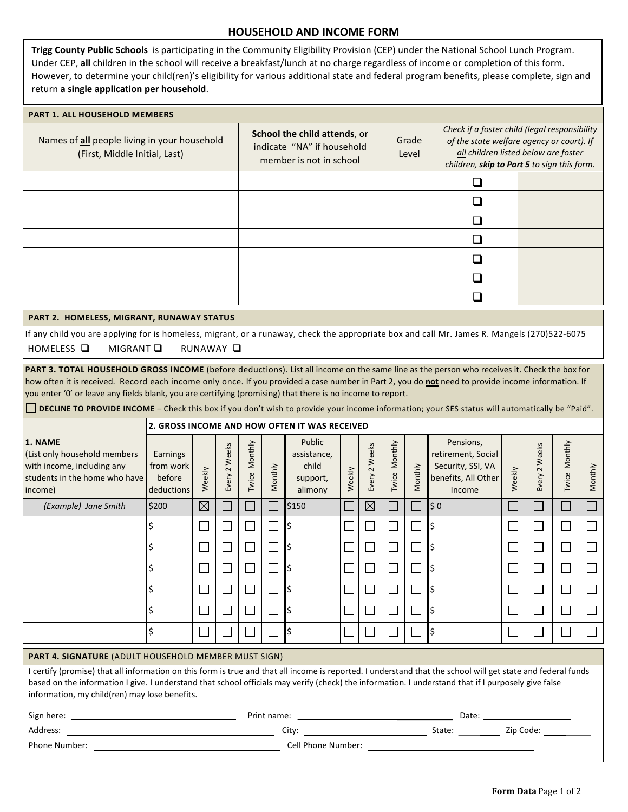|                                                                                                                                                                                                                                                                                                                                                                                                                                                                    |                                                                                                                                                                                                                                                                                                                                                                                                                                                                                            |                             |                             |                                                                                       |         | <b>HOUSEHOLD AND INCOME FORM</b>            |        |                          |                  |              |                                                                          |                                                                                                                                                                                   |                             |                          |                   |  |
|--------------------------------------------------------------------------------------------------------------------------------------------------------------------------------------------------------------------------------------------------------------------------------------------------------------------------------------------------------------------------------------------------------------------------------------------------------------------|--------------------------------------------------------------------------------------------------------------------------------------------------------------------------------------------------------------------------------------------------------------------------------------------------------------------------------------------------------------------------------------------------------------------------------------------------------------------------------------------|-----------------------------|-----------------------------|---------------------------------------------------------------------------------------|---------|---------------------------------------------|--------|--------------------------|------------------|--------------|--------------------------------------------------------------------------|-----------------------------------------------------------------------------------------------------------------------------------------------------------------------------------|-----------------------------|--------------------------|-------------------|--|
| Trigg County Public Schools is participating in the Community Eligibility Provision (CEP) under the National School Lunch Program.<br>Under CEP, all children in the school will receive a breakfast/lunch at no charge regardless of income or completion of this form.<br>However, to determine your child(ren)'s eligibility for various additional state and federal program benefits, please complete, sign and<br>return a single application per household. |                                                                                                                                                                                                                                                                                                                                                                                                                                                                                            |                             |                             |                                                                                       |         |                                             |        |                          |                  |              |                                                                          |                                                                                                                                                                                   |                             |                          |                   |  |
| <b>PART 1. ALL HOUSEHOLD MEMBERS</b>                                                                                                                                                                                                                                                                                                                                                                                                                               |                                                                                                                                                                                                                                                                                                                                                                                                                                                                                            |                             |                             |                                                                                       |         |                                             |        |                          |                  |              |                                                                          |                                                                                                                                                                                   |                             |                          |                   |  |
| Names of all people living in your household<br>(First, Middle Initial, Last)                                                                                                                                                                                                                                                                                                                                                                                      |                                                                                                                                                                                                                                                                                                                                                                                                                                                                                            |                             |                             | School the child attends, or<br>indicate "NA" if household<br>member is not in school |         |                                             |        |                          | Grade<br>Level   |              |                                                                          | Check if a foster child (legal responsibility<br>of the state welfare agency or court). If<br>all children listed below are foster<br>children, skip to Part 5 to sign this form. |                             |                          |                   |  |
|                                                                                                                                                                                                                                                                                                                                                                                                                                                                    |                                                                                                                                                                                                                                                                                                                                                                                                                                                                                            |                             |                             |                                                                                       |         |                                             |        |                          |                  |              | $\Box$                                                                   |                                                                                                                                                                                   |                             |                          |                   |  |
|                                                                                                                                                                                                                                                                                                                                                                                                                                                                    |                                                                                                                                                                                                                                                                                                                                                                                                                                                                                            |                             |                             |                                                                                       |         |                                             |        |                          |                  |              | ❏                                                                        |                                                                                                                                                                                   |                             |                          |                   |  |
|                                                                                                                                                                                                                                                                                                                                                                                                                                                                    |                                                                                                                                                                                                                                                                                                                                                                                                                                                                                            |                             |                             |                                                                                       |         |                                             |        |                          |                  |              | ❏                                                                        |                                                                                                                                                                                   |                             |                          |                   |  |
|                                                                                                                                                                                                                                                                                                                                                                                                                                                                    |                                                                                                                                                                                                                                                                                                                                                                                                                                                                                            |                             |                             |                                                                                       |         |                                             |        |                          |                  |              | ❏                                                                        |                                                                                                                                                                                   |                             |                          |                   |  |
|                                                                                                                                                                                                                                                                                                                                                                                                                                                                    |                                                                                                                                                                                                                                                                                                                                                                                                                                                                                            |                             |                             |                                                                                       |         |                                             |        |                          |                  |              | ❏                                                                        |                                                                                                                                                                                   |                             |                          |                   |  |
|                                                                                                                                                                                                                                                                                                                                                                                                                                                                    |                                                                                                                                                                                                                                                                                                                                                                                                                                                                                            |                             |                             |                                                                                       |         |                                             |        |                          |                  |              |                                                                          |                                                                                                                                                                                   |                             |                          |                   |  |
|                                                                                                                                                                                                                                                                                                                                                                                                                                                                    |                                                                                                                                                                                                                                                                                                                                                                                                                                                                                            |                             |                             |                                                                                       |         |                                             |        |                          |                  |              | ❏                                                                        |                                                                                                                                                                                   |                             |                          |                   |  |
|                                                                                                                                                                                                                                                                                                                                                                                                                                                                    |                                                                                                                                                                                                                                                                                                                                                                                                                                                                                            |                             |                             |                                                                                       |         |                                             |        |                          |                  |              | ❏                                                                        |                                                                                                                                                                                   |                             |                          |                   |  |
| PART 2. HOMELESS, MIGRANT, RUNAWAY STATUS                                                                                                                                                                                                                                                                                                                                                                                                                          |                                                                                                                                                                                                                                                                                                                                                                                                                                                                                            |                             |                             |                                                                                       |         |                                             |        |                          |                  |              |                                                                          |                                                                                                                                                                                   |                             |                          |                   |  |
| If any child you are applying for is homeless, migrant, or a runaway, check the appropriate box and call Mr. James R. Mangels (270)522-6075<br>HOMELESS □<br>MIGRANT Q<br>RUNAWAY Q                                                                                                                                                                                                                                                                                |                                                                                                                                                                                                                                                                                                                                                                                                                                                                                            |                             |                             |                                                                                       |         |                                             |        |                          |                  |              |                                                                          |                                                                                                                                                                                   |                             |                          |                   |  |
| 1. NAME                                                                                                                                                                                                                                                                                                                                                                                                                                                            | how often it is received. Record each income only once. If you provided a case number in Part 2, you do not need to provide income information. If<br>you enter '0' or leave any fields blank, you are certifying (promising) that there is no income to report.<br>DECLINE TO PROVIDE INCOME - Check this box if you don't wish to provide your income information; your SES status will automatically be "Paid".<br>2. GROSS INCOME AND HOW OFTEN IT WAS RECEIVED<br>Public<br>Pensions, |                             |                             |                                                                                       |         |                                             |        |                          |                  |              |                                                                          |                                                                                                                                                                                   |                             |                          |                   |  |
| (List only household members<br>with income, including any<br>students in the home who have<br>income)                                                                                                                                                                                                                                                                                                                                                             | Earnings<br>from work<br>before<br>deductions                                                                                                                                                                                                                                                                                                                                                                                                                                              | Weekly                      | Weeks<br>Every 2            | Twice Monthly                                                                         | Monthly | assistance,<br>child<br>support,<br>alimony | Weekly | Weeks<br>Every 2         | Monthly<br>Twice | Monthly      | retirement, Social<br>Security, SSI, VA<br>benefits, All Other<br>Income | Weekly                                                                                                                                                                            | Weeks<br>Every 2            | Monthly<br>Twice         | Month             |  |
| (Example) Jane Smith                                                                                                                                                                                                                                                                                                                                                                                                                                               | \$200                                                                                                                                                                                                                                                                                                                                                                                                                                                                                      | $\boxtimes$                 | $\Box$                      | $\Box$                                                                                | $\Box$  | \$150                                       |        | $\boxtimes$              | $\blacksquare$   | $\Box$       | $\frac{1}{2}$ 0                                                          | $\Box$                                                                                                                                                                            | $\mathcal{L}_{\mathcal{A}}$ | $\Box$                   | $\vert \ \ \vert$ |  |
|                                                                                                                                                                                                                                                                                                                                                                                                                                                                    | \$                                                                                                                                                                                                                                                                                                                                                                                                                                                                                         | $\Box$                      | $\Box$                      | $\Box$                                                                                | $\Box$  | \$                                          |        | $\overline{\phantom{a}}$ | $\Box$           | $\Box$       | l\$                                                                      | $\overline{\phantom{a}}$                                                                                                                                                          | $\sim$                      | $\Box$                   |                   |  |
|                                                                                                                                                                                                                                                                                                                                                                                                                                                                    | \$                                                                                                                                                                                                                                                                                                                                                                                                                                                                                         | $\Box$                      | $\Box$                      | $\Box$                                                                                | $\Box$  | l\$                                         |        | $\Box$                   | $\Box$           | $\Box$       | ۱\$                                                                      | $\Box$                                                                                                                                                                            | $\mathcal{L}$               | $\Box$                   |                   |  |
|                                                                                                                                                                                                                                                                                                                                                                                                                                                                    | \$                                                                                                                                                                                                                                                                                                                                                                                                                                                                                         | $\mathcal{L}_{\mathcal{A}}$ | $\Box$                      | $\Box$                                                                                | $\Box$  | \$                                          |        | $\Box$                   | $\Box$           | $\Box$       | l\$                                                                      | $\Box$                                                                                                                                                                            | $\Box$                      | $\Box$                   |                   |  |
|                                                                                                                                                                                                                                                                                                                                                                                                                                                                    | \$                                                                                                                                                                                                                                                                                                                                                                                                                                                                                         | $\mathcal{L}$               | $\mathcal{L}_{\mathcal{A}}$ | $\Box$                                                                                | L       | l\$                                         |        | $\Box$                   | $\Box$           | $\Box$       | ١\$                                                                      | $\Box$                                                                                                                                                                            | $\Box$                      | $\Box$                   |                   |  |
|                                                                                                                                                                                                                                                                                                                                                                                                                                                                    | \$                                                                                                                                                                                                                                                                                                                                                                                                                                                                                         | $\sim$                      | $\mathsf{L}$                | $\Box$                                                                                | $\Box$  | \$                                          |        | $\Box$                   | $\Box$           | $\Box$       | l\$                                                                      | $\Box$                                                                                                                                                                            | $\mathcal{L}$               | $\Box$                   |                   |  |
|                                                                                                                                                                                                                                                                                                                                                                                                                                                                    | \$                                                                                                                                                                                                                                                                                                                                                                                                                                                                                         | $\sim$                      | $\overline{\phantom{a}}$    |                                                                                       |         | \$                                          |        | $\mathbf{I}$             | $\mathbf{L}$     | $\mathbf{I}$ | l\$                                                                      | $\overline{\phantom{a}}$                                                                                                                                                          | $\sim$                      | $\overline{\phantom{a}}$ |                   |  |
| <b>PART 4. SIGNATURE (ADULT HOUSEHOLD MEMBER MUST SIGN)</b>                                                                                                                                                                                                                                                                                                                                                                                                        |                                                                                                                                                                                                                                                                                                                                                                                                                                                                                            |                             |                             |                                                                                       |         |                                             |        |                          |                  |              |                                                                          |                                                                                                                                                                                   |                             |                          |                   |  |
| I certify (promise) that all information on this form is true and that all income is reported. I understand that the school will get state and federal funds<br>based on the information I give. I understand that school officials may verify (check) the information. I understand that if I purposely give false<br>information, my child(ren) may lose benefits.                                                                                               |                                                                                                                                                                                                                                                                                                                                                                                                                                                                                            |                             |                             |                                                                                       |         |                                             |        |                          |                  |              |                                                                          |                                                                                                                                                                                   |                             |                          |                   |  |
|                                                                                                                                                                                                                                                                                                                                                                                                                                                                    |                                                                                                                                                                                                                                                                                                                                                                                                                                                                                            |                             |                             |                                                                                       |         |                                             |        |                          |                  |              |                                                                          |                                                                                                                                                                                   |                             |                          |                   |  |
| Address:<br><u> 1989 - Johann Barn, mars eta bainar eta baina eta baina eta baina eta baina eta baina eta baina eta baina e</u>                                                                                                                                                                                                                                                                                                                                    |                                                                                                                                                                                                                                                                                                                                                                                                                                                                                            |                             |                             |                                                                                       |         |                                             |        |                          |                  |              |                                                                          |                                                                                                                                                                                   |                             |                          |                   |  |
| Phone Number:                                                                                                                                                                                                                                                                                                                                                                                                                                                      |                                                                                                                                                                                                                                                                                                                                                                                                                                                                                            |                             |                             |                                                                                       |         | Cell Phone Number:                          |        |                          |                  |              |                                                                          |                                                                                                                                                                                   |                             |                          |                   |  |